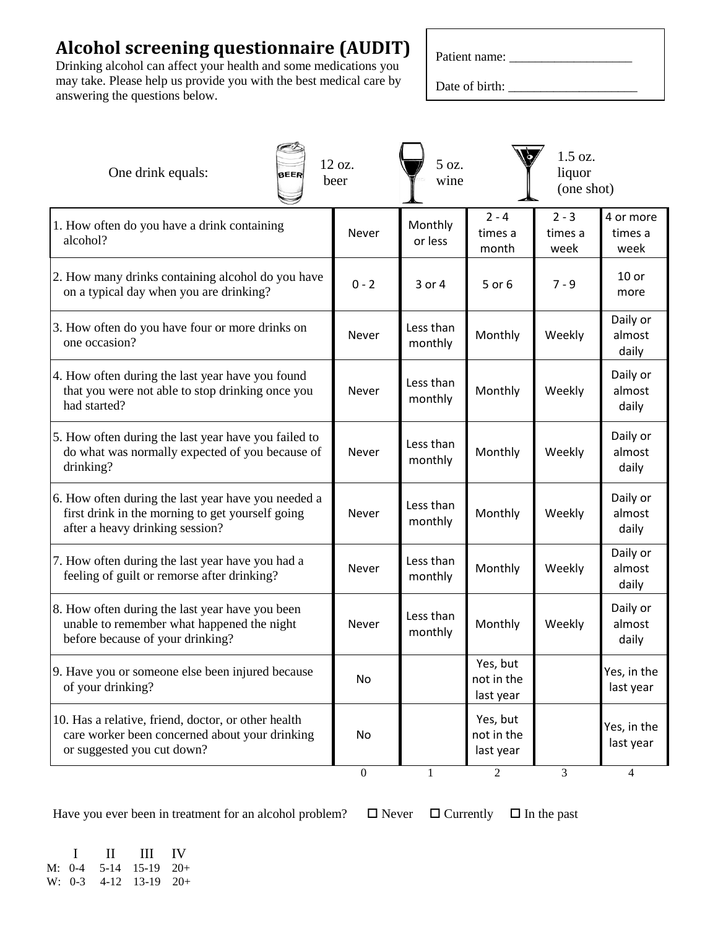## **Alcohol screening questionnaire (AUDIT)**

Drinking alcohol can affect your health and some medications you may take. Please help us provide you with the best medical care by answering the questions below.

Date of birth: \_\_\_\_\_\_\_\_\_\_\_\_\_\_\_\_\_\_\_\_

| One drink equals:<br><b>BEER</b>                                                                                                           | 12 oz.<br>beer   | 5 oz.<br>wine        |                                     | 1.5 oz.<br>liquor<br>(one shot) |                              |
|--------------------------------------------------------------------------------------------------------------------------------------------|------------------|----------------------|-------------------------------------|---------------------------------|------------------------------|
| 1. How often do you have a drink containing<br>alcohol?                                                                                    | Never            | Monthly<br>or less   | $2 - 4$<br>times a<br>month         | $2 - 3$<br>times a<br>week      | 4 or more<br>times a<br>week |
| 2. How many drinks containing alcohol do you have<br>on a typical day when you are drinking?                                               | $0 - 2$          | 3 or 4               | 5 or 6                              | $7 - 9$                         | $10$ or<br>more              |
| 3. How often do you have four or more drinks on<br>one occasion?                                                                           | Never            | Less than<br>monthly | Monthly                             | Weekly                          | Daily or<br>almost<br>daily  |
| 4. How often during the last year have you found<br>that you were not able to stop drinking once you<br>had started?                       | Never            | Less than<br>monthly | Monthly                             | Weekly                          | Daily or<br>almost<br>daily  |
| 5. How often during the last year have you failed to<br>do what was normally expected of you because of<br>drinking?                       | Never            | Less than<br>monthly | Monthly                             | Weekly                          | Daily or<br>almost<br>daily  |
| 6. How often during the last year have you needed a<br>first drink in the morning to get yourself going<br>after a heavy drinking session? | <b>Never</b>     | Less than<br>monthly | Monthly                             | Weekly                          | Daily or<br>almost<br>daily  |
| 7. How often during the last year have you had a<br>feeling of guilt or remorse after drinking?                                            | Never            | Less than<br>monthly | Monthly                             | Weekly                          | Daily or<br>almost<br>daily  |
| 8. How often during the last year have you been<br>unable to remember what happened the night<br>before because of your drinking?          | Never            | Less than<br>monthly | Monthly                             | Weekly                          | Daily or<br>almost<br>daily  |
| 9. Have you or someone else been injured because<br>of your drinking?                                                                      | No               |                      | Yes, but<br>not in the<br>last year |                                 | Yes, in the<br>last year     |
| 10. Has a relative, friend, doctor, or other health<br>care worker been concerned about your drinking<br>or suggested you cut down?        | No               |                      | Yes, but<br>not in the<br>last year |                                 | Yes, in the<br>last year     |
|                                                                                                                                            | $\boldsymbol{0}$ |                      | $\overline{2}$                      | 3                               | $\overline{4}$               |

Have you ever been in treatment for an alcohol problem?  $\Box$  Never  $\Box$  Currently  $\Box$  In the past

 I II III IV M: 0-4 5-14 15-19 20+ W: 0-3 4-12 13-19 20+